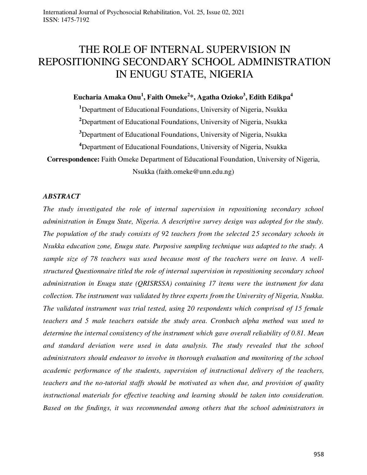# THE ROLE OF INTERNAL SUPERVISION IN REPOSITIONING SECONDARY SCHOOL ADMINISTRATION IN ENUGU STATE, NIGERIA

# **Eucharia Amaka Onu<sup>1</sup> , Faith Omeke<sup>2</sup> \*, Agatha Ozioko<sup>3</sup> , Edith Edikpa<sup>4</sup>**

**<sup>1</sup>**Department of Educational Foundations, University of Nigeria, Nsukka

**<sup>2</sup>**Department of Educational Foundations, University of Nigeria, Nsukka

**<sup>3</sup>**Department of Educational Foundations, University of Nigeria, Nsukka

**<sup>4</sup>**Department of Educational Foundations, University of Nigeria, Nsukka

**Correspondence:** Faith Omeke Department of Educational Foundation, University of Nigeria,

Nsukka [\(faith.omeke@unn.edu.ng\)](mailto:faith.omeke@unn.edu.ng)

#### *ABSTRACT*

*The study investigated the role of internal supervision in repositioning secondary school administration in Enugu State, Nigeria. A descriptive survey design was adopted for the study. The population of the study consists of 92 teachers from the selected 25 secondary schools in Nsukka education zone, Enugu state. Purposive sampling technique was adapted to the study. A sample size of 78 teachers was used because most of the teachers were on leave. A wellstructured Questionnaire titled the role of internal supervision in repositioning secondary school administration in Enugu state (QRISRSSA) containing 17 items were the instrument for data collection. The instrument was validated by three experts from the University of Nigeria, Nsukka. The validated instrument was trial tested, using 20 respondents which comprised of 15 female teachers and 5 male teachers outside the study area. Cronbach alpha method was used to determine the internal consistency of the instrument which gave overall reliability of 0.81. Mean and standard deviation were used in data analysis. The study revealed that the school administrators should endeavor to involve in thorough evaluation and monitoring of the school academic performance of the students, supervision of instructional delivery of the teachers, teachers and the no-tutorial staffs should be motivated as when due, and provision of quality instructional materials for effective teaching and learning should be taken into consideration. Based on the findings, it was recommended among others that the school administrators in*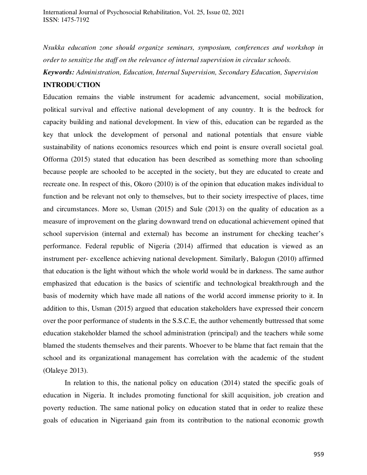*Nsukka education zone should organize seminars, symposium, conferences and workshop in order to sensitize the staff on the relevance of internal supervision in circular schools.* 

*Keywords: Administration, Education, Internal Supervision, Secondary Education, Supervision* 

# **INTRODUCTION**

Education remains the viable instrument for academic advancement, social mobilization, political survival and effective national development of any country. It is the bedrock for capacity building and national development. In view of this, education can be regarded as the key that unlock the development of personal and national potentials that ensure viable sustainability of nations economics resources which end point is ensure overall societal goal. Offorma (2015) stated that education has been described as something more than schooling because people are schooled to be accepted in the society, but they are educated to create and recreate one. In respect of this, Okoro (2010) is of the opinion that education makes individual to function and be relevant not only to themselves, but to their society irrespective of places, time and circumstances. More so, Usman (2015) and Sule (2013) on the quality of education as a measure of improvement on the glaring downward trend on educational achievement opined that school supervision (internal and external) has become an instrument for checking teacher's performance. Federal republic of Nigeria (2014) affirmed that education is viewed as an instrument per- excellence achieving national development. Similarly, Balogun (2010) affirmed that education is the light without which the whole world would be in darkness. The same author emphasized that education is the basics of scientific and technological breakthrough and the basis of modernity which have made all nations of the world accord immense priority to it. In addition to this, Usman (2015) argued that education stakeholders have expressed their concern over the poor performance of students in the S.S.C.E, the author vehemently buttressed that some education stakeholder blamed the school administration (principal) and the teachers while some blamed the students themselves and their parents. Whoever to be blame that fact remain that the school and its organizational management has correlation with the academic of the student (Olaleye 2013).

In relation to this, the national policy on education (2014) stated the specific goals of education in Nigeria. It includes promoting functional for skill acquisition, job creation and poverty reduction. The same national policy on education stated that in order to realize these goals of education in Nigeriaand gain from its contribution to the national economic growth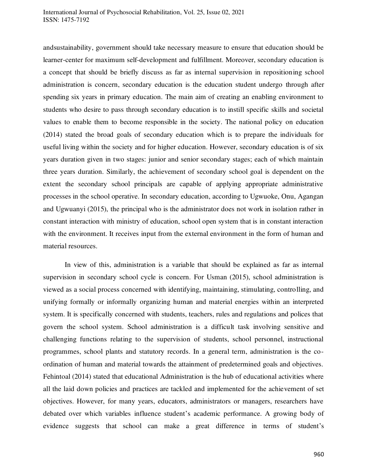andsustainability, government should take necessary measure to ensure that education should be learner-center for maximum self-development and fulfillment. Moreover, secondary education is a concept that should be briefly discuss as far as internal supervision in repositioning school administration is concern, secondary education is the education student undergo through after spending six years in primary education. The main aim of creating an enabling environment to students who desire to pass through secondary education is to instill specific skills and societal values to enable them to become responsible in the society. The national policy on education (2014) stated the broad goals of secondary education which is to prepare the individuals for useful living within the society and for higher education. However, secondary education is of six years duration given in two stages: junior and senior secondary stages; each of which maintain three years duration. Similarly, the achievement of secondary school goal is dependent on the extent the secondary school principals are capable of applying appropriate administrative processes in the school operative. In secondary education, according to Ugwuoke, Onu, Agangan and Ugwuanyi (2015), the principal who is the administrator does not work in isolation rather in constant interaction with ministry of education, school open system that is in constant interaction with the environment. It receives input from the external environment in the form of human and material resources.

In view of this, administration is a variable that should be explained as far as internal supervision in secondary school cycle is concern. For Usman (2015), school administration is viewed as a social process concerned with identifying, maintaining, stimulating, controlling, and unifying formally or informally organizing human and material energies within an interpreted system. It is specifically concerned with students, teachers, rules and regulations and polices that govern the school system. School administration is a difficult task involving sensitive and challenging functions relating to the supervision of students, school personnel, instructional programmes, school plants and statutory records. In a general term, administration is the coordination of human and material towards the attainment of predetermined goals and objectives. Fehintoal (2014) stated that educational Administration is the hub of educational activities where all the laid down policies and practices are tackled and implemented for the achievement of set objectives. However, for many years, educators, administrators or managers, researchers have debated over which variables influence student's academic performance. A growing body of evidence suggests that school can make a great difference in terms of student's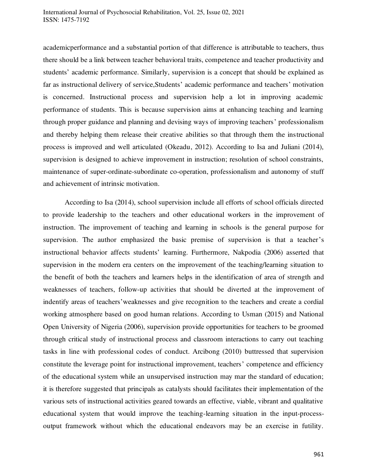academicperformance and a substantial portion of that difference is attributable to teachers, thus there should be a link between teacher behavioral traits, competence and teacher productivity and students' academic performance. Similarly, supervision is a concept that should be explained as far as instructional delivery of service,Students' academic performance and teachers' motivation is concerned. Instructional process and supervision help a lot in improving academic performance of students. This is because supervision aims at enhancing teaching and learning through proper guidance and planning and devising ways of improving teachers' professionalism and thereby helping them release their creative abilities so that through them the instructional process is improved and well articulated (Okeadu, 2012). According to Isa and Juliani (2014), supervision is designed to achieve improvement in instruction; resolution of school constraints, maintenance of super-ordinate-subordinate co-operation, professionalism and autonomy of stuff and achievement of intrinsic motivation.

According to Isa (2014), school supervision include all efforts of school officials directed to provide leadership to the teachers and other educational workers in the improvement of instruction. The improvement of teaching and learning in schools is the general purpose for supervision. The author emphasized the basic premise of supervision is that a teacher's instructional behavior affects students' learning. Furthermore, Nakpodia (2006) asserted that supervision in the modern era centers on the improvement of the teaching/learning situation to the benefit of both the teachers and learners helps in the identification of area of strength and weaknesses of teachers, follow-up activities that should be diverted at the improvement of indentify areas of teachers'weaknesses and give recognition to the teachers and create a cordial working atmosphere based on good human relations. According to Usman (2015) and National Open University of Nigeria (2006), supervision provide opportunities for teachers to be groomed through critical study of instructional process and classroom interactions to carry out teaching tasks in line with professional codes of conduct. Arcibong (2010) buttressed that supervision constitute the leverage point for instructional improvement, teachers' competence and efficiency of the educational system while an unsupervised instruction may mar the standard of education; it is therefore suggested that principals as catalysts should facilitates their implementation of the various sets of instructional activities geared towards an effective, viable, vibrant and qualitative educational system that would improve the teaching-learning situation in the input-processoutput framework without which the educational endeavors may be an exercise in futility.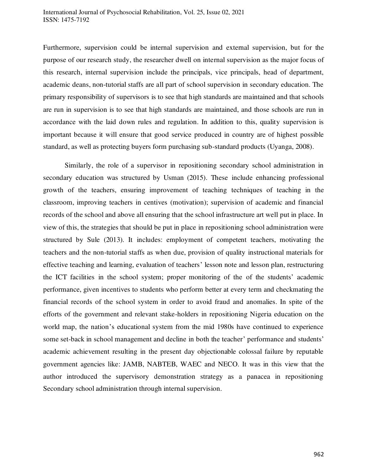Furthermore, supervision could be internal supervision and external supervision, but for the purpose of our research study, the researcher dwell on internal supervision as the major focus of this research, internal supervision include the principals, vice principals, head of department, academic deans, non-tutorial staffs are all part of school supervision in secondary education. The primary responsibility of supervisors is to see that high standards are maintained and that schools are run in supervision is to see that high standards are maintained, and those schools are run in accordance with the laid down rules and regulation. In addition to this, quality supervision is important because it will ensure that good service produced in country are of highest possible standard, as well as protecting buyers form purchasing sub-standard products (Uyanga, 2008).

Similarly, the role of a supervisor in repositioning secondary school administration in secondary education was structured by Usman (2015). These include enhancing professional growth of the teachers, ensuring improvement of teaching techniques of teaching in the classroom, improving teachers in centives (motivation); supervision of academic and financial records of the school and above all ensuring that the school infrastructure art well put in place. In view of this, the strategies that should be put in place in repositioning school administration were structured by Sule (2013). It includes: employment of competent teachers, motivating the teachers and the non-tutorial staffs as when due, provision of quality instructional materials for effective teaching and learning, evaluation of teachers' lesson note and lesson plan, restructuring the ICT facilities in the school system; proper monitoring of the of the students' academic performance, given incentives to students who perform better at every term and checkmating the financial records of the school system in order to avoid fraud and anomalies. In spite of the efforts of the government and relevant stake-holders in repositioning Nigeria education on the world map, the nation's educational system from the mid 1980s have continued to experience some set-back in school management and decline in both the teacher' performance and students' academic achievement resulting in the present day objectionable colossal failure by reputable government agencies like: JAMB, NABTEB, WAEC and NECO. It was in this view that the author introduced the supervisory demonstration strategy as a panacea in repositioning Secondary school administration through internal supervision.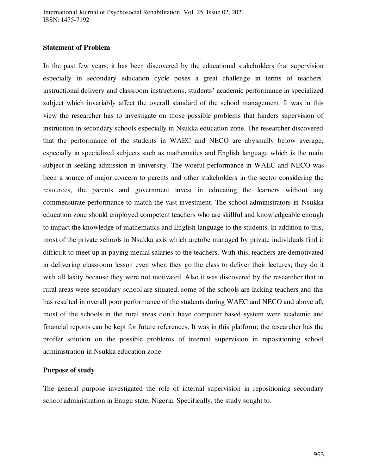## **Statement of Problem**

In the past few years, it has been discovered by the educational stakeholders that supervision especially in secondary education cycle poses a great challenge in terms of teachers' instructional delivery and classroom instructions, students' academic performance in specialized subject which invariably affect the overall standard of the school management. It was in this view the researcher has to investigate on those possible problems that hinders supervision of instruction in secondary schools especially in Nsukka education zone. The researcher discovered that the performance of the students in WAEC and NECO are abysmally below average, especially in specialized subjects such as mathematics and English language which is the main subject in seeking admission in university. The woeful performance in WAEC and NECO was been a source of major concern to parents and other stakeholders in the sector considering the resources, the parents and government invest in educating the learners without any commensurate performance to match the vast investment. The school administrators in Nsukka education zone should employed competent teachers who are skillful and knowledgeable enough to impact the knowledge of mathematics and English language to the students. In addition to this, most of the private schools in Nsukka axis which aretobe managed by private individuals find it difficult to meet up in paying menial salaries to the teachers. With this, teachers are demotivated in delivering classroom lesson even when they go the class to deliver their lectures; they do it with all laxity because they were not motivated. Also it was discovered by the researcher that in rural areas were secondary school are situated, some of the schools are lacking teachers and this has resulted in overall poor performance of the students during WAEC and NECO and above all, most of the schools in the rural areas don't have computer based system were academic and financial reports can be kept for future references. It was in this platform; the researcher has the proffer solution on the possible problems of internal supervision in repositioning school administration in Nsukka education zone.

#### **Purpose of study**

The general purpose investigated the role of internal supervision in repositioning secondary school administration in Enugu state, Nigeria. Specifically, the study sought to: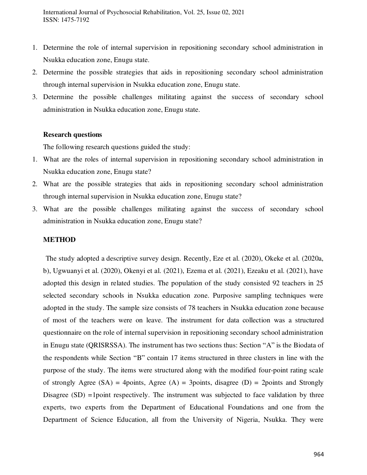International Journal of Psychosocial Rehabilitation, Vol. 25, Issue 02, 2021 ISSN: 1475-7192

- 1. Determine the role of internal supervision in repositioning secondary school administration in Nsukka education zone, Enugu state.
- 2. Determine the possible strategies that aids in repositioning secondary school administration through internal supervision in Nsukka education zone, Enugu state.
- 3. Determine the possible challenges militating against the success of secondary school administration in Nsukka education zone, Enugu state.

#### **Research questions**

The following research questions guided the study:

- 1. What are the roles of internal supervision in repositioning secondary school administration in Nsukka education zone, Enugu state?
- 2. What are the possible strategies that aids in repositioning secondary school administration through internal supervision in Nsukka education zone, Enugu state?
- 3. What are the possible challenges militating against the success of secondary school administration in Nsukka education zone, Enugu state?

#### **METHOD**

 The study adopted a descriptive survey design. Recently, Eze et al. (2020), Okeke et al. (2020a, b), Ugwuanyi et al. (2020), Okenyi et al. (2021), Ezema et al. (2021), Ezeaku et al. (2021), have adopted this design in related studies. The population of the study consisted 92 teachers in 25 selected secondary schools in Nsukka education zone. Purposive sampling techniques were adopted in the study. The sample size consists of 78 teachers in Nsukka education zone because of most of the teachers were on leave. The instrument for data collection was a structured questionnaire on the role of internal supervision in repositioning secondary school administration in Enugu state (QRISRSSA). The instrument has two sections thus: Section "A" is the Biodata of the respondents while Section "B" contain 17 items structured in three clusters in line with the purpose of the study. The items were structured along with the modified four-point rating scale of strongly Agree  $(SA) = 4$ points, Agree  $(A) = 3$ points, disagree  $(D) = 2$ points and Strongly Disagree (SD) =1point respectively. The instrument was subjected to face validation by three experts, two experts from the Department of Educational Foundations and one from the Department of Science Education, all from the University of Nigeria, Nsukka. They were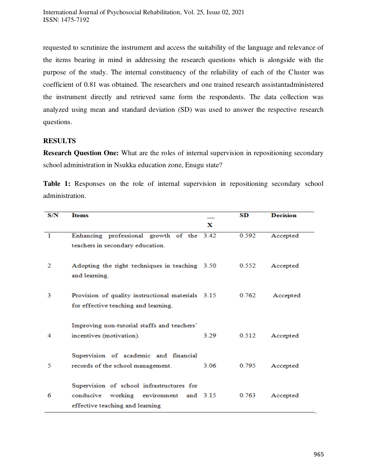requested to scrutinize the instrument and access the suitability of the language and relevance of the items bearing in mind in addressing the research questions which is alongside with the purpose of the study. The internal constituency of the reliability of each of the Cluster was coefficient of 0.81 was obtained. The researchers and one trained research assistantadministered the instrument directly and retrieved same form the respondents. The data collection was analyzed using mean and standard deviation (SD) was used to answer the respective research questions.

# **RESULTS**

**Research Question One:** What are the roles of internal supervision in repositioning secondary school administration in Nsukka education zone, Enugu state?

Table 1: Responses on the role of internal supervision in repositioning secondary school administration.

| S/N | <b>Items</b>                                                               |      | $\mathbf{SD}$ | <b>Decision</b> |
|-----|----------------------------------------------------------------------------|------|---------------|-----------------|
|     |                                                                            | x    |               |                 |
| 1   | Enhancing professional growth of the 3.42                                  |      | 0.592         | Accepted        |
|     | teachers in secondary education.                                           |      |               |                 |
| 2   | Adopting the right techniques in teaching 3.50                             |      | 0.552         | Accepted        |
|     | and learning.                                                              |      |               |                 |
| 3   | Provision of quality instructional materials 3.15                          |      | 0.762         | Accepted        |
|     | for effective teaching and learning.                                       |      |               |                 |
| 4   | Improving non-tutorial staffs and teachers'<br>incentives (motivation).    | 3.29 | 0.512         | Accepted        |
|     |                                                                            |      |               |                 |
| 5   | Supervision of academic and financial<br>records of the school management. | 3.06 | 0.795         | Accepted        |
|     |                                                                            |      |               |                 |
| 6   | Supervision of school infrastructures for                                  |      |               |                 |
|     | conducive working environment and 3.15<br>effective teaching and learning  |      | 0.763         | Accepted        |
|     |                                                                            |      |               |                 |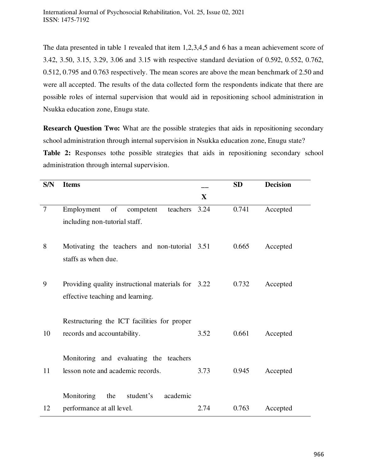The data presented in table 1 revealed that item 1,2,3,4,5 and 6 has a mean achievement score of 3.42, 3.50, 3.15, 3.29, 3.06 and 3.15 with respective standard deviation of 0.592, 0.552, 0.762, 0.512, 0.795 and 0.763 respectively. The mean scores are above the mean benchmark of 2.50 and were all accepted. The results of the data collected form the respondents indicate that there are possible roles of internal supervision that would aid in repositioning school administration in Nsukka education zone, Enugu state.

**Research Question Two:** What are the possible strategies that aids in repositioning secondary school administration through internal supervision in Nsukka education zone, Enugu state? Table 2: Responses to the possible strategies that aids in repositioning secondary school administration through internal supervision.

| <b>S/N</b>     | <b>Items</b>                                                               |              | <b>SD</b> | <b>Decision</b> |
|----------------|----------------------------------------------------------------------------|--------------|-----------|-----------------|
|                |                                                                            | $\mathbf{X}$ |           |                 |
| $\overline{7}$ | Employment<br>of<br>competent<br>teachers                                  | 3.24         | 0.741     | Accepted        |
|                | including non-tutorial staff.                                              |              |           |                 |
| 8              | Motivating the teachers and non-tutorial 3.51                              |              | 0.665     | Accepted        |
|                | staffs as when due.                                                        |              |           |                 |
| 9              | Providing quality instructional materials for 3.22                         |              | 0.732     | Accepted        |
|                | effective teaching and learning.                                           |              |           |                 |
|                |                                                                            |              |           |                 |
| 10             | Restructuring the ICT facilities for proper<br>records and accountability. | 3.52         | 0.661     | Accepted        |
|                |                                                                            |              |           |                 |
|                | Monitoring and evaluating the teachers                                     |              |           |                 |
| 11             | lesson note and academic records.                                          | 3.73         | 0.945     | Accepted        |
|                | Monitoring<br>academic<br>the<br>student's                                 |              |           |                 |
| 12             | performance at all level.                                                  | 2.74         | 0.763     | Accepted        |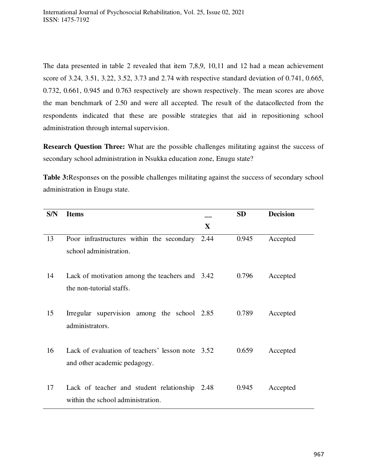The data presented in table 2 revealed that item 7,8,9, 10,11 and 12 had a mean achievement score of 3.24, 3.51, 3.22, 3.52, 3.73 and 2.74 with respective standard deviation of 0.741, 0.665, 0.732, 0.661, 0.945 and 0.763 respectively are shown respectively. The mean scores are above the man benchmark of 2.50 and were all accepted. The result of the datacollected from the respondents indicated that these are possible strategies that aid in repositioning school administration through internal supervision.

**Research Question Three:** What are the possible challenges militating against the success of secondary school administration in Nsukka education zone, Enugu state?

**Table 3:**Responses on the possible challenges militating against the success of secondary school administration in Enugu state.

| S/N | <b>Items</b>                                                                     |              | <b>SD</b> | <b>Decision</b> |
|-----|----------------------------------------------------------------------------------|--------------|-----------|-----------------|
|     |                                                                                  | $\mathbf{X}$ |           |                 |
| 13  | Poor infrastructures within the secondary<br>school administration.              | 2.44         | 0.945     | Accepted        |
| 14  | Lack of motivation among the teachers and 3.42<br>the non-tutorial staffs.       |              | 0.796     | Accepted        |
| 15  | Irregular supervision among the school 2.85<br>administrators.                   |              | 0.789     | Accepted        |
| 16  | Lack of evaluation of teachers' lesson note 3.52<br>and other academic pedagogy. |              | 0.659     | Accepted        |
| 17  | Lack of teacher and student relationship<br>within the school administration.    | 2.48         | 0.945     | Accepted        |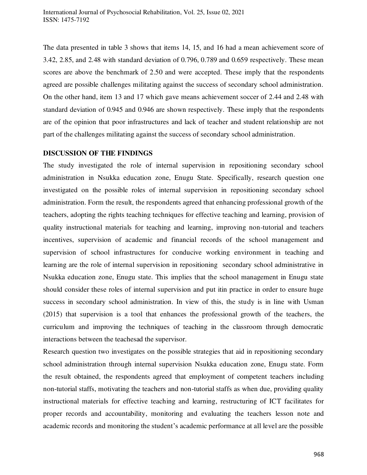The data presented in table 3 shows that items 14, 15, and 16 had a mean achievement score of 3.42, 2.85, and 2.48 with standard deviation of 0.796, 0.789 and 0.659 respectively. These mean scores are above the benchmark of 2.50 and were accepted. These imply that the respondents agreed are possible challenges militating against the success of secondary school administration. On the other hand, item 13 and 17 which gave means achievement soccer of 2.44 and 2.48 with standard deviation of 0.945 and 0.946 are shown respectively. These imply that the respondents are of the opinion that poor infrastructures and lack of teacher and student relationship are not part of the challenges militating against the success of secondary school administration.

## **DISCUSSION OF THE FINDINGS**

The study investigated the role of internal supervision in repositioning secondary school administration in Nsukka education zone, Enugu State. Specifically, research question one investigated on the possible roles of internal supervision in repositioning secondary school administration. Form the result, the respondents agreed that enhancing professional growth of the teachers, adopting the rights teaching techniques for effective teaching and learning, provision of quality instructional materials for teaching and learning, improving non-tutorial and teachers incentives, supervision of academic and financial records of the school management and supervision of school infrastructures for conducive working environment in teaching and learning are the role of internal supervision in repositioning secondary school administrative in Nsukka education zone, Enugu state. This implies that the school management in Enugu state should consider these roles of internal supervision and put itin practice in order to ensure huge success in secondary school administration. In view of this, the study is in line with Usman (2015) that supervision is a tool that enhances the professional growth of the teachers, the curriculum and improving the techniques of teaching in the classroom through democratic interactions between the teachesad the supervisor.

Research question two investigates on the possible strategies that aid in repositioning secondary school administration through internal supervision Nsukka education zone, Enugu state. Form the result obtained, the respondents agreed that employment of competent teachers including non-tutorial staffs, motivating the teachers and non-tutorial staffs as when due, providing quality instructional materials for effective teaching and learning, restructuring of ICT facilitates for proper records and accountability, monitoring and evaluating the teachers lesson note and academic records and monitoring the student's academic performance at all level are the possible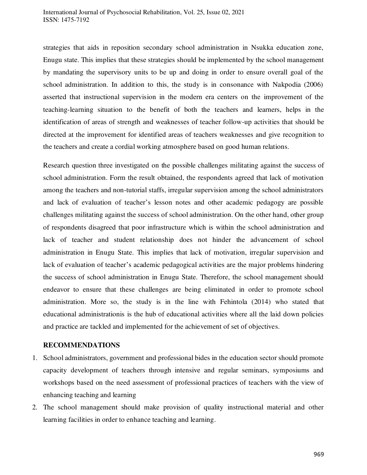strategies that aids in reposition secondary school administration in Nsukka education zone, Enugu state. This implies that these strategies should be implemented by the school management by mandating the supervisory units to be up and doing in order to ensure overall goal of the school administration. In addition to this, the study is in consonance with Nakpodia (2006) asserted that instructional supervision in the modern era centers on the improvement of the teaching-learning situation to the benefit of both the teachers and learners, helps in the identification of areas of strength and weaknesses of teacher follow-up activities that should be directed at the improvement for identified areas of teachers weaknesses and give recognition to the teachers and create a cordial working atmosphere based on good human relations.

Research question three investigated on the possible challenges militating against the success of school administration. Form the result obtained, the respondents agreed that lack of motivation among the teachers and non-tutorial staffs, irregular supervision among the school administrators and lack of evaluation of teacher's lesson notes and other academic pedagogy are possible challenges militating against the success of school administration. On the other hand, other group of respondents disagreed that poor infrastructure which is within the school administration and lack of teacher and student relationship does not hinder the advancement of school administration in Enugu State. This implies that lack of motivation, irregular supervision and lack of evaluation of teacher's academic pedagogical activities are the major problems hindering the success of school administration in Enugu State. Therefore, the school management should endeavor to ensure that these challenges are being eliminated in order to promote school administration. More so, the study is in the line with Fehintola (2014) who stated that educational administrationis is the hub of educational activities where all the laid down policies and practice are tackled and implemented for the achievement of set of objectives.

#### **RECOMMENDATIONS**

- 1. School administrators, government and professional bides in the education sector should promote capacity development of teachers through intensive and regular seminars, symposiums and workshops based on the need assessment of professional practices of teachers with the view of enhancing teaching and learning
- 2. The school management should make provision of quality instructional material and other learning facilities in order to enhance teaching and learning.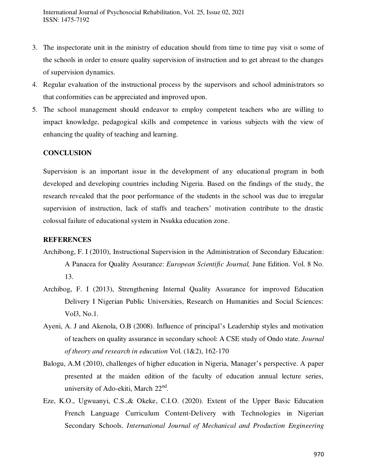International Journal of Psychosocial Rehabilitation, Vol. 25, Issue 02, 2021 ISSN: 1475-7192

- 3. The inspectorate unit in the ministry of education should from time to time pay visit o some of the schools in order to ensure quality supervision of instruction and to get abreast to the changes of supervision dynamics.
- 4. Regular evaluation of the instructional process by the supervisors and school administrators so that conformities can be appreciated and improved upon.
- 5. The school management should endeavor to employ competent teachers who are willing to impact knowledge, pedagogical skills and competence in various subjects with the view of enhancing the quality of teaching and learning.

# **CONCLUSION**

Supervision is an important issue in the development of any educational program in both developed and developing countries including Nigeria. Based on the findings of the study, the research revealed that the poor performance of the students in the school was due to irregular supervision of instruction, lack of staffs and teachers' motivation contribute to the drastic colossal failure of educational system in Nsukka education zone.

#### **REFERENCES**

- Archibong, F. I (2010), Instructional Supervision in the Administration of Secondary Education: A Panacea for Quality Assurance: *European Scientific Journal,* June Edition. Vol. 8 No. 13.
- Archibog, F. I (2013), Strengthening Internal Quality Assurance for improved Education Delivery I Nigerian Public Universities, Research on Humanities and Social Sciences: Vol3, No.1.
- Ayeni, A. J and Akenola, O.B (2008). Influence of principal's Leadership styles and motivation of teachers on quality assurance in secondary school: A CSE study of Ondo state. *Journal of theory and research in education* Vol. (1&2), 162-170
- Balogu, A.M (2010), challenges of higher education in Nigeria, Manager's perspective. A paper presented at the maiden edition of the faculty of education annual lecture series, university of Ado-ekiti, March 22<sup>nd</sup>.
- Eze, K.O., Ugwuanyi, C.S.,& Okeke, C.I.O. (2020). [Extent of the Upper Basic Education](http://www.tjprc.org/view_paper.php?id=14168)  [French Language Curriculum Content-Delivery with Technologies in Nigerian](http://www.tjprc.org/view_paper.php?id=14168)  [Secondary Schools.](http://www.tjprc.org/view_paper.php?id=14168) *International Journal of Mechanical and Production Engineering*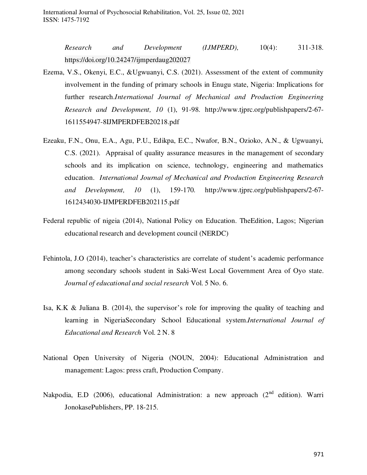*Research and Development (IJMPERD),* 10(4): 311-318. <https://doi.org/10.24247/ijmperdaug202027>

- Ezema, V.S., Okenyi, E.C., &Ugwuanyi, C.S. (2021). Assessment of the extent of community involvement in the funding of primary schools in Enugu state, Nigeria: Implications for further research.*International Journal of Mechanical and Production Engineering Research and Development, 10* (1), 91-98. [http://www.tjprc.org/publishpapers/2-67-](http://www.tjprc.org/publishpapers/2-67-1611554947-8IJMPERDFEB20218.pdf) [1611554947-8IJMPERDFEB20218.pdf](http://www.tjprc.org/publishpapers/2-67-1611554947-8IJMPERDFEB20218.pdf)
- Ezeaku, F.N., Onu, E.A., Agu, P.U., Edikpa, E.C., Nwafor, B.N., Ozioko, A.N., & Ugwuanyi, C.S. (2021). Appraisal of quality assurance measures in the management of secondary schools and its implication on science, technology, engineering and mathematics education. *International Journal of Mechanical and Production Engineering Research and Development, 10* (1), 159-170. [http://www.tjprc.org/publishpapers/2-67-](http://www.tjprc.org/publishpapers/2-67-1612434030-IJMPERDFEB202115.pdf) [1612434030-IJMPERDFEB202115.pdf](http://www.tjprc.org/publishpapers/2-67-1612434030-IJMPERDFEB202115.pdf)
- Federal republic of nigeia (2014), National Policy on Education. TheEdition, Lagos; Nigerian educational research and development council (NERDC)
- Fehintola, J.O (2014), teacher's characteristics are correlate of student's academic performance among secondary schools student in Saki-West Local Government Area of Oyo state. *Journal of educational and social research* Vol. 5 No. 6.
- Isa, K.K & Juliana B. (2014), the supervisor's role for improving the quality of teaching and learning in NigeriaSecondary School Educational system.*International Journal of Educational and Research* Vol. 2 N. 8
- National Open University of Nigeria (NOUN, 2004): Educational Administration and management: Lagos: press craft, Production Company.
- Nakpodia, E.D (2006), educational Administration: a new approach (2<sup>nd</sup> edition). Warri JonokasePublishers, PP. 18-215.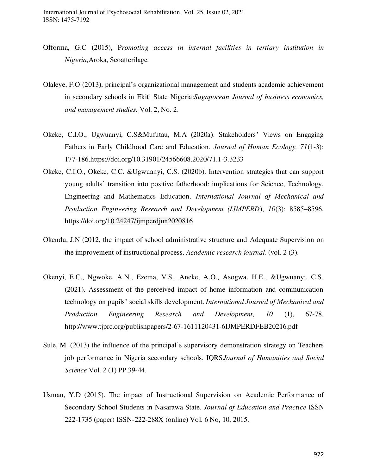- Offorma, G.C (2015), P*romoting access in internal facilities in tertiary institution in Nigeria,*Aroka, Scoatterilage*.*
- Olaleye, F.O (2013), principal's organizational management and students academic achievement in secondary schools in Ekiti State Nigeria:*Sugaporean Journal of business economics, and management studies.* Vol. 2, No. 2.
- Okeke, C.I.O., Ugwuanyi, C.S&Mufutau, M.A (2020a). Stakeholders' Views on Engaging Fathers in Early Childhood Care and Education. *Journal of Human Ecology, 71*(1-3): 177-186[.https://doi.org/10.31901/24566608.2020/71.1-3.3233](https://doi.org/10.31901/24566608.2020/71.1-3.3233)
- Okeke, C.I.O., Okeke, C.C. &Ugwuanyi, C.S. (2020b). Intervention strategies that can support young adults' transition into positive fatherhood: implications for Science, Technology, Engineering and Mathematics Education. *International Journal of Mechanical and Production Engineering Research and Development (IJMPERD*), *10*(3): 8585–8596. <https://doi.org/10.24247/ijmperdjun2020816>
- Okendu, J.N (2012, the impact of school administrative structure and Adequate Supervision on the improvement of instructional process. *Academic research journal.* (vol. 2 (3).
- Okenyi, E.C., Ngwoke, A.N., Ezema, V.S., Aneke, A.O., Asogwa, H.E., &Ugwuanyi, C.S. (2021). Assessment of the perceived impact of home information and communication technology on pupils' social skills development. *International Journal of Mechanical and Production Engineering Research and Development, 10* (1), 67-78. <http://www.tjprc.org/publishpapers/2-67-1611120431-6IJMPERDFEB20216.pdf>
- Sule, M. (2013) the influence of the principal's supervisory demonstration strategy on Teachers job performance in Nigeria secondary schools. IQRS*Journal of Humanities and Social Science* Vol. 2 (1) PP.39-44.
- Usman, Y.D (2015). The impact of Instructional Supervision on Academic Performance of Secondary School Students in Nasarawa State. *Journal of Education and Practice* ISSN 222-1735 (paper) ISSN-222-288X (online) Vol. 6 No, 10, 2015.